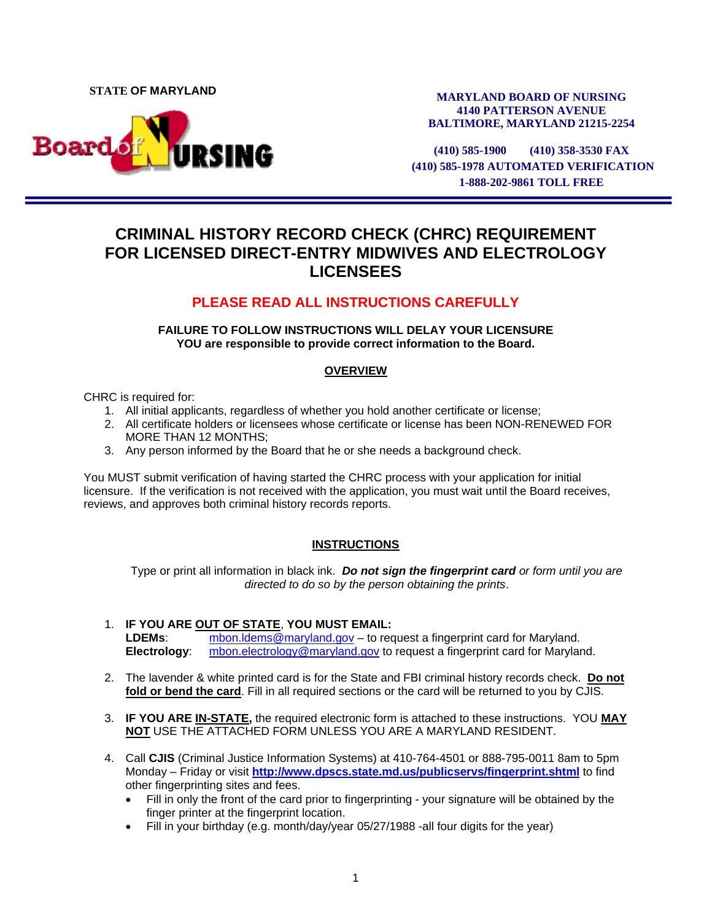**STATE OF MARYLAND** 



**MARYLAND BOARD OF NURSING 4140 PATTERSON AVENUE BALTIMORE, MARYLAND 21215-2254** 

**(410) 585-1900 (410) 358-3530 FAX (410) 585-1978 AUTOMATED VERIFICATION 1-888-202-9861 TOLL FREE**

# **CRIMINAL HISTORY RECORD CHECK (CHRC) REQUIREMENT FOR LICENSED DIRECT-ENTRY MIDWIVES AND ELECTROLOGY LICENSEES**

# **PLEASE READ ALL INSTRUCTIONS CAREFULLY**

**FAILURE TO FOLLOW INSTRUCTIONS WILL DELAY YOUR LICENSURE YOU are responsible to provide correct information to the Board.** 

## **OVERVIEW**

CHRC is required for:

- 1. All initial applicants, regardless of whether you hold another certificate or license;
- 2. All certificate holders or licensees whose certificate or license has been NON-RENEWED FOR MORE THAN 12 MONTHS;
- 3. Any person informed by the Board that he or she needs a background check.

You MUST submit verification of having started the CHRC process with your application for initial licensure. If the verification is not received with the application, you must wait until the Board receives, reviews, and approves both criminal history records reports.

## **INSTRUCTIONS**

Type or print all information in black ink. *Do not sign the fingerprint card or form until you are directed to do so by the person obtaining the prints*.

- 1. **IF YOU ARE OUT OF STATE**, **YOU MUST EMAIL: LDEMs**: [mbon.ldems@maryland.gov –](mailto:mbon.ldems@maryland.gov) to request a fingerprint card for Maryland. **Electrology**: [mbon.electrology@maryland.gov to](mailto:mbon.electrology@maryland.gov) request a fingerprint card for Maryland.
- 2. The lavender & white printed card is for the State and FBI criminal history records check. **Do not fold or bend the card**. Fill in all required sections or the card will be returned to you by CJIS.
- 3. **IF YOU ARE IN-STATE,** the required electronic form is attached to these instructions. YOU **MAY NOT** USE THE ATTACHED FORM UNLESS YOU ARE A MARYLAND RESIDENT.
- 4. Call **CJIS** (Criminal Justice Information Systems) at 410-764-4501 or 888-795-0011 8am to 5pm Monday – Friday or visit **<http://www.dpscs.state.md.us/publicservs/fingerprint.shtml>** to find other fingerprinting sites and fees.
	- Fill in only the front of the card prior to fingerprinting your signature will be obtained by the finger printer at the fingerprint location.
	- Fill in your birthday (e.g. month/day/year 05/27/1988 -all four digits for the year)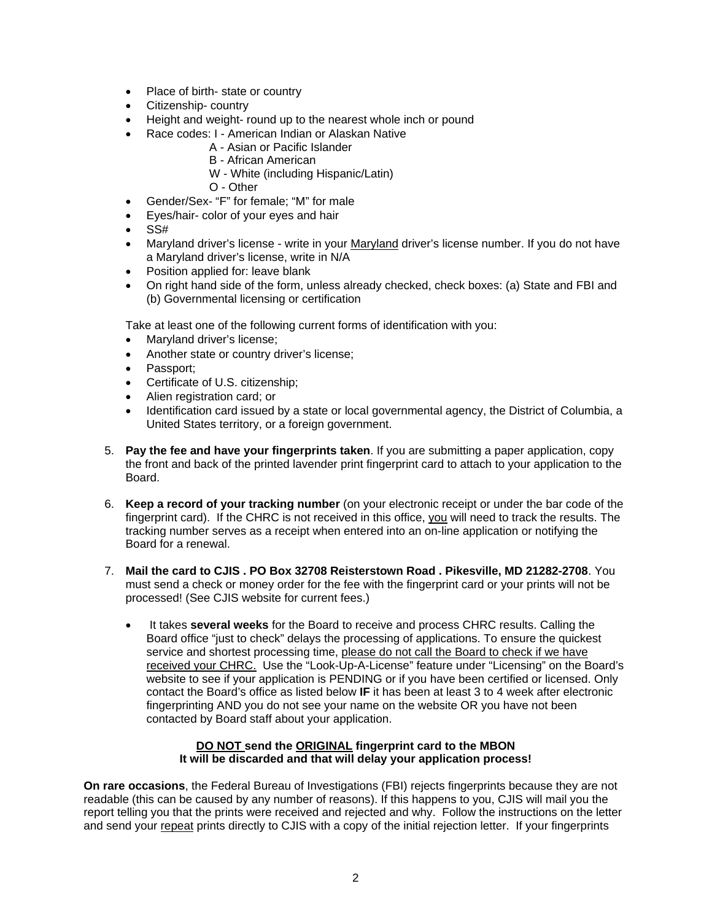- Place of birth- state or country
- Citizenship- country
- Height and weight- round up to the nearest whole inch or pound
- Race codes: I American Indian or Alaskan Native
	- A Asian or Pacific Islander
	- B African American
	- W White (including Hispanic/Latin)
	- O Other
- Gender/Sex- "F" for female; "M" for male
- Eyes/hair- color of your eyes and hair
- $\bullet$  SS#
- Maryland driver's license write in your Maryland driver's license number. If you do not have a Maryland driver's license, write in N/A
- Position applied for: leave blank
- On right hand side of the form, unless already checked, check boxes: (a) State and FBI and (b) Governmental licensing or certification

Take at least one of the following current forms of identification with you:

- Maryland driver's license;
- Another state or country driver's license;
- Passport;
- Certificate of U.S. citizenship;
- Alien registration card; or
- Identification card issued by a state or local governmental agency, the District of Columbia, a United States territory, or a foreign government.
- 5. **Pay the fee and have your fingerprints taken**. If you are submitting a paper application, copy the front and back of the printed lavender print fingerprint card to attach to your application to the Board.
- 6. **Keep a record of your tracking number** (on your electronic receipt or under the bar code of the fingerprint card).If the CHRC is not received in this office, you will need to track the results. The tracking number serves as a receipt when entered into an on-line application or notifying the Board for a renewal.
- 7. **Mail the card to CJIS . PO Box 32708 Reisterstown Road . Pikesville, MD 21282-2708**. You must send a check or money order for the fee with the fingerprint card or your prints will not be processed! (See CJIS website for current fees.)
	- It takes **several weeks** for the Board to receive and process CHRC results. Calling the Board office "just to check" delays the processing of applications. To ensure the quickest service and shortest processing time, please do not call the Board to check if we have received your CHRC. Use the "Look-Up-A-License" feature under "Licensing" on the Board's website to see if your application is PENDING or if you have been certified or licensed. Only contact the Board's office as listed below **IF** it has been at least 3 to 4 week after electronic fingerprinting AND you do not see your name on the website OR you have not been contacted by Board staff about your application.

#### **DO NOT send the ORIGINAL fingerprint card to the MBON It will be discarded and that will delay your application process!**

**On rare occasions**, the Federal Bureau of Investigations (FBI) rejects fingerprints because they are not readable (this can be caused by any number of reasons). If this happens to you, CJIS will mail you the report telling you that the prints were received and rejected and why. Follow the instructions on the letter and send your repeat prints directly to CJIS with a copy of the initial rejection letter. If your fingerprints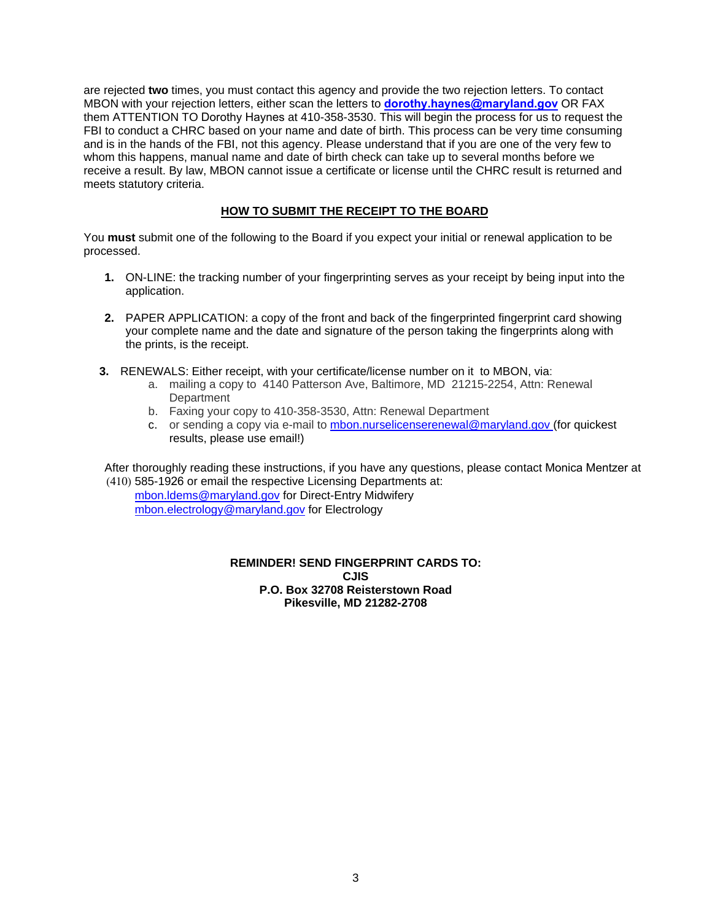are rejected **two** times, you must contact this agency and provide the two rejection letters. To contact MBON with your rejection letters, either scan the letters to **[dorothy.haynes@maryland.gov](mailto:dorothy.haynes@maryland.gov)** OR FAX them ATTENTION TO Dorothy Haynes at 410-358-3530. This will begin the process for us to request the FBI to conduct a CHRC based on your name and date of birth. This process can be very time consuming and is in the hands of the FBI, not this agency. Please understand that if you are one of the very few to whom this happens, manual name and date of birth check can take up to several months before we receive a result. By law, MBON cannot issue a certificate or license until the CHRC result is returned and meets statutory criteria.

## **HOW TO SUBMIT THE RECEIPT TO THE BOARD**

You **must** submit one of the following to the Board if you expect your initial or renewal application to be processed.

- **1.** ON-LINE: the tracking number of your fingerprinting serves as your receipt by being input into the application.
- **2.** PAPER APPLICATION: a copy of the front and back of the fingerprinted fingerprint card showing your complete name and the date and signature of the person taking the fingerprints along with the prints, is the receipt.
- **3.** RENEWALS: Either receipt, with your certificate/license number on it to MBON, via:
	- a. mailing a copy to 4140 Patterson Ave, Baltimore, MD 21215-2254, Attn: Renewal **Department**
	- b. Faxing your copy to 410-358-3530, Attn: Renewal Department
	- c. or sending a copy via e-mail to [mbon.nurselicenserenewal@maryland.gov \(fo](mailto:mbon.nurselicenserenewal@maryland.gov)r quickest results, please use email!)

After thoroughly reading these instructions, if you have any questions, please contact Monica Mentzer at (410) 585-1926 or email the respective Licensing Departments at:

m[bon.ldems@maryland.gov for D](mailto:mbon.ldems@maryland.gov)irect-Entry Midwifery m[bon.electrology@maryland.gov](mailto:mbon.electrology@maryland.gov) for Electrology

#### **REMINDER! SEND FINGERPRINT CARDS TO: CJIS P.O. Box 32708 Reisterstown Road Pikesville, MD 21282-2708**